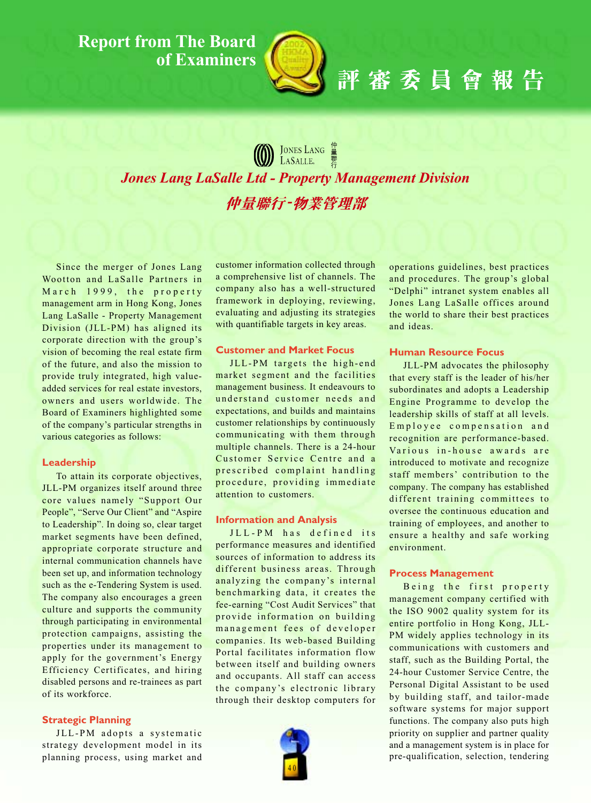### **Report from The Board** of Examiners



# 評審委員會報告

### **(1)** JONES LANG

**Jones Lang LaSalle Ltd - Property Management Division** 仲量聯行-物業管理部

Since the merger of Jones Lang Wootton and LaSalle Partners in March 1999, the property management arm in Hong Kong, Jones Lang LaSalle - Property Management Division (JLL-PM) has aligned its corporate direction with the group's vision of becoming the real estate firm of the future, and also the mission to provide truly integrated, high valueadded services for real estate investors. owners and users worldwide. The Board of Examiners highlighted some of the company's particular strengths in various categories as follows:

### Leadership

To attain its corporate objectives, JLL-PM organizes itself around three core values namely "Support Our People", "Serve Our Client" and "Aspire to Leadership". In doing so, clear target market segments have been defined, appropriate corporate structure and internal communication channels have been set up, and information technology such as the e-Tendering System is used. The company also encourages a green culture and supports the community through participating in environmental protection campaigns, assisting the properties under its management to apply for the government's Energy Efficiency Certificates, and hiring disabled persons and re-trainees as part of its workforce.

### **Strategic Planning**

JLL-PM adopts a systematic strategy development model in its planning process, using market and customer information collected through a comprehensive list of channels. The company also has a well-structured framework in deploying, reviewing, evaluating and adjusting its strategies with quantifiable targets in key areas.

### **Customer and Market Focus**

JLL-PM targets the high-end market segment and the facilities management business. It endeavours to understand customer needs and expectations, and builds and maintains customer relationships by continuously communicating with them through multiple channels. There is a 24-hour Customer Service Centre and a prescribed complaint handling procedure, providing immediate attention to customers.

### **Information and Analysis**

JLL-PM has defined its performance measures and identified sources of information to address its different business areas. Through analyzing the company's internal benchmarking data, it creates the fee-earning "Cost Audit Services" that provide information on building management fees of developer companies. Its web-based Building Portal facilitates information flow between itself and building owners and occupants. All staff can access the company's electronic library through their desktop computers for



operations guidelines, best practices and procedures. The group's global "Delphi" intranet system enables all Jones Lang LaSalle offices around the world to share their best practices and ideas.

### **Human Resource Focus**

JLL-PM advocates the philosophy that every staff is the leader of his/her subordinates and adopts a Leadership Engine Programme to develop the leadership skills of staff at all levels. Employee compensation and recognition are performance-based. Various in-house awards are introduced to motivate and recognize staff members' contribution to the company. The company has established different training committees to oversee the continuous education and training of employees, and another to ensure a healthy and safe working environment.

### **Process Management**

Being the first property management company certified with the ISO 9002 quality system for its entire portfolio in Hong Kong, JLL-PM widely applies technology in its communications with customers and staff, such as the Building Portal, the 24-hour Customer Service Centre, the Personal Digital Assistant to be used by building staff, and tailor-made software systems for major support functions. The company also puts high priority on supplier and partner quality and a management system is in place for pre-qualification, selection, tendering